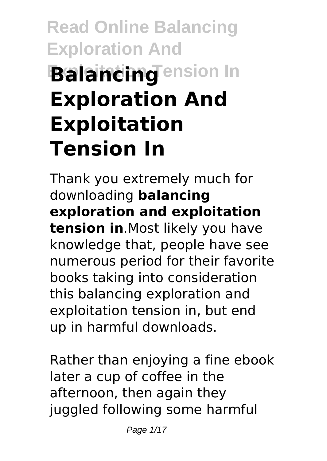# **Read Online Balancing Exploration And Balancing ension In Exploration And Exploitation Tension In**

Thank you extremely much for downloading **balancing exploration and exploitation tension in**.Most likely you have knowledge that, people have see numerous period for their favorite books taking into consideration this balancing exploration and exploitation tension in, but end up in harmful downloads.

Rather than enjoying a fine ebook later a cup of coffee in the afternoon, then again they juggled following some harmful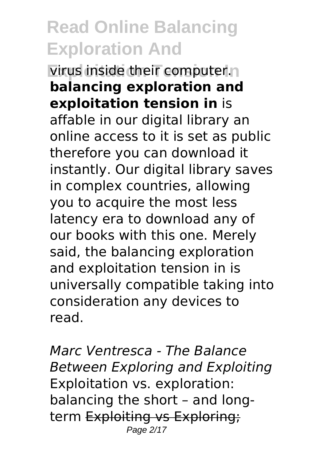**Exploring India Exploring Tension Inc. balancing exploration and exploitation tension in** is affable in our digital library an online access to it is set as public therefore you can download it instantly. Our digital library saves in complex countries, allowing you to acquire the most less latency era to download any of our books with this one. Merely said, the balancing exploration and exploitation tension in is universally compatible taking into consideration any devices to read.

*Marc Ventresca - The Balance Between Exploring and Exploiting* Exploitation vs. exploration: balancing the short – and longterm Exploiting vs Exploring; Page 2/17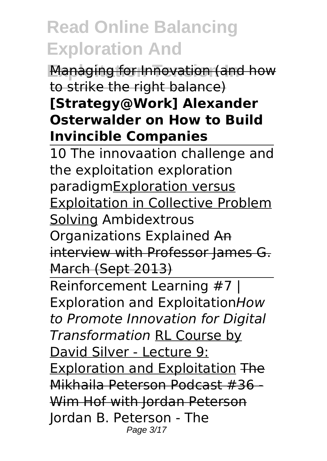**Managing for Innovation (and how** to strike the right balance)

#### **[Strategy@Work] Alexander Osterwalder on How to Build Invincible Companies**

10 The innovaation challenge and the exploitation exploration paradigmExploration versus Exploitation in Collective Problem Solving Ambidextrous Organizations Explained An interview with Professor James G. March (Sept 2013)

Reinforcement Learning #7 | Exploration and Exploitation*How to Promote Innovation for Digital Transformation* RL Course by David Silver - Lecture 9: Exploration and Exploitation The Mikhaila Peterson Podcast #36 - Wim Hof with Jordan Peterson Jordan B. Peterson - The Page 3/17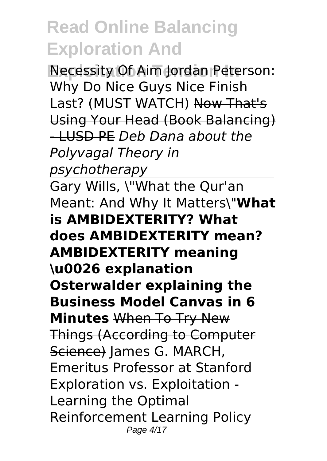**Necessity Of Aim Jordan Peterson:** Why Do Nice Guys Nice Finish Last? (MUST WATCH) Now That's Using Your Head (Book Balancing) - LUSD PE *Deb Dana about the Polyvagal Theory in psychotherapy*

Gary Wills, \"What the Qur'an Meant: And Why It Matters\"**What is AMBIDEXTERITY? What does AMBIDEXTERITY mean? AMBIDEXTERITY meaning \u0026 explanation Osterwalder explaining the Business Model Canvas in 6 Minutes** When To Try New Things (According to Computer Science) James G. MARCH, Emeritus Professor at Stanford Exploration vs. Exploitation - Learning the Optimal Reinforcement Learning Policy Page 4/17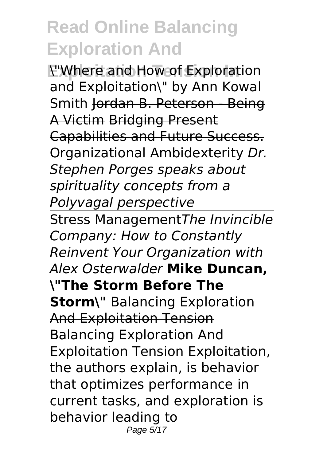**Exploitation Tension In** \"Where and How of Exploration and Exploitation\" by Ann Kowal Smith Jordan B. Peterson - Being A Victim Bridging Present Capabilities and Future Success. Organizational Ambidexterity *Dr. Stephen Porges speaks about spirituality concepts from a Polyvagal perspective* Stress Management*The Invincible Company: How to Constantly Reinvent Your Organization with Alex Osterwalder* **Mike Duncan, \"The Storm Before The Storm\"** Balancing Exploration And Exploitation Tension Balancing Exploration And Exploitation Tension Exploitation, the authors explain, is behavior that optimizes performance in current tasks, and exploration is behavior leading to Page 5/17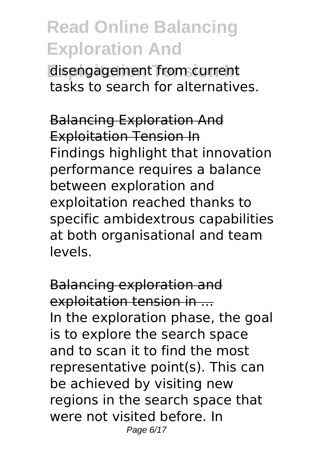**Expangagement from current** tasks to search for alternatives.

Balancing Exploration And Exploitation Tension In Findings highlight that innovation performance requires a balance between exploration and exploitation reached thanks to specific ambidextrous capabilities at both organisational and team levels.

Balancing exploration and exploitation tension in ... In the exploration phase, the goal is to explore the search space and to scan it to find the most representative point(s). This can be achieved by visiting new regions in the search space that were not visited before. In Page 6/17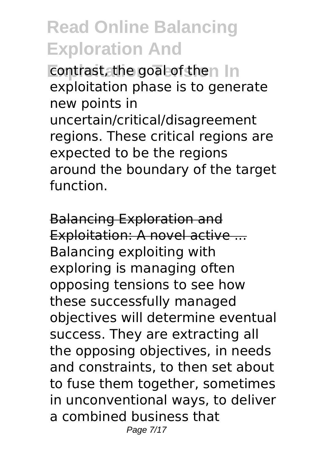**Exploitant** Explorer In exploitation phase is to generate new points in uncertain/critical/disagreement regions. These critical regions are expected to be the regions around the boundary of the target function.

Balancing Exploration and Exploitation: A novel active ... Balancing exploiting with exploring is managing often opposing tensions to see how these successfully managed objectives will determine eventual success. They are extracting all the opposing objectives, in needs and constraints, to then set about to fuse them together, sometimes in unconventional ways, to deliver a combined business that Page 7/17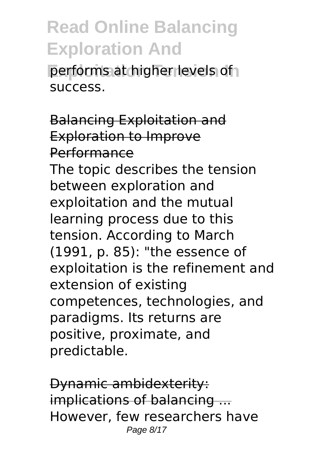**Derforms at higher levels of** success.

Balancing Exploitation and Exploration to Improve Performance The topic describes the tension between exploration and exploitation and the mutual learning process due to this tension. According to March (1991, p. 85): "the essence of exploitation is the refinement and extension of existing competences, technologies, and paradigms. Its returns are positive, proximate, and predictable.

Dynamic ambidexterity: implications of balancing ... However, few researchers have Page 8/17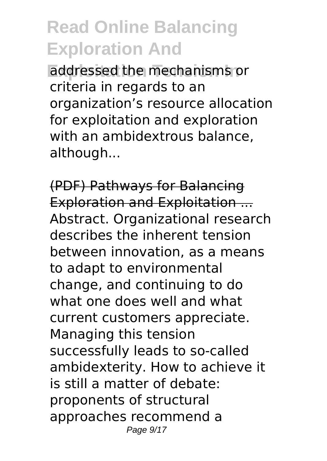**Exploitation Tension In** addressed the mechanisms or criteria in regards to an organization's resource allocation for exploitation and exploration with an ambidextrous balance, although...

(PDF) Pathways for Balancing Exploration and Exploitation ... Abstract. Organizational research describes the inherent tension between innovation, as a means to adapt to environmental change, and continuing to do what one does well and what current customers appreciate. Managing this tension successfully leads to so-called ambidexterity. How to achieve it is still a matter of debate: proponents of structural approaches recommend a Page 9/17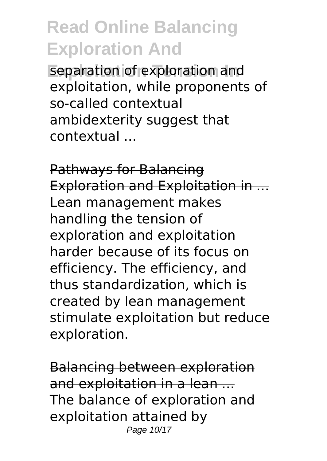separation of exploration and exploitation, while proponents of so-called contextual ambidexterity suggest that contextual ...

Pathways for Balancing Exploration and Exploitation in ... Lean management makes handling the tension of exploration and exploitation harder because of its focus on efficiency. The efficiency, and thus standardization, which is created by lean management stimulate exploitation but reduce exploration.

Balancing between exploration and exploitation in a lean ... The balance of exploration and exploitation attained by Page 10/17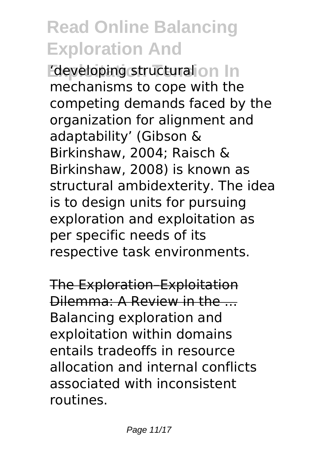**Exploitation in Structural on In** mechanisms to cope with the competing demands faced by the organization for alignment and adaptability' (Gibson & Birkinshaw, 2004; Raisch & Birkinshaw, 2008) is known as structural ambidexterity. The idea is to design units for pursuing exploration and exploitation as per specific needs of its respective task environments.

The Exploration–Exploitation Dilemma: A Review in the ... Balancing exploration and exploitation within domains entails tradeoffs in resource allocation and internal conflicts associated with inconsistent routines.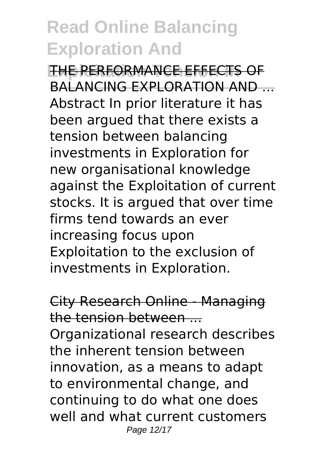**EXPLOITATION TELECTS OF** BALANCING EXPLORATION AND Abstract In prior literature it has been argued that there exists a tension between balancing investments in Exploration for new organisational knowledge against the Exploitation of current stocks. It is argued that over time firms tend towards an ever increasing focus upon Exploitation to the exclusion of investments in Exploration.

City Research Online - Managing the tension between ... Organizational research describes the inherent tension between innovation, as a means to adapt to environmental change, and continuing to do what one does well and what current customers Page 12/17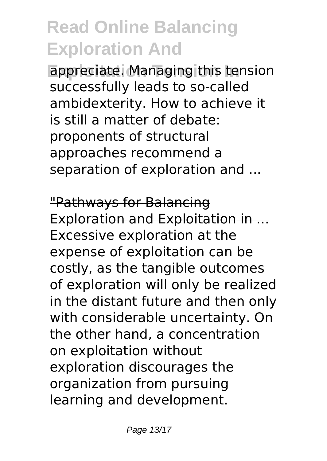appreciate. Managing this tension successfully leads to so-called ambidexterity. How to achieve it is still a matter of debate: proponents of structural approaches recommend a separation of exploration and ...

"Pathways for Balancing Exploration and Exploitation in ... Excessive exploration at the expense of exploitation can be costly, as the tangible outcomes of exploration will only be realized in the distant future and then only with considerable uncertainty. On the other hand, a concentration on exploitation without exploration discourages the organization from pursuing learning and development.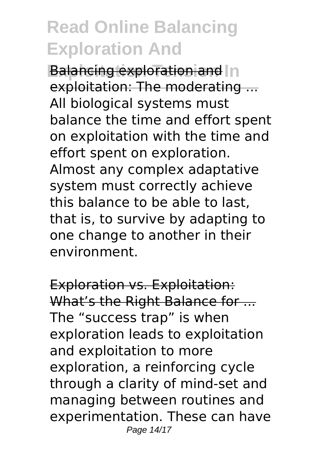**Balancing exploration and In** exploitation: The moderating ... All biological systems must balance the time and effort spent on exploitation with the time and effort spent on exploration. Almost any complex adaptative system must correctly achieve this balance to be able to last, that is, to survive by adapting to one change to another in their environment.

Exploration vs. Exploitation: What's the Right Balance for ... The "success trap" is when exploration leads to exploitation and exploitation to more exploration, a reinforcing cycle through a clarity of mind-set and managing between routines and experimentation. These can have Page 14/17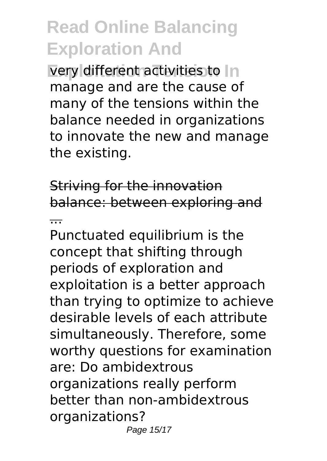**Very different activities to In** manage and are the cause of many of the tensions within the balance needed in organizations to innovate the new and manage the existing.

Striving for the innovation balance: between exploring and

...

Punctuated equilibrium is the concept that shifting through periods of exploration and exploitation is a better approach than trying to optimize to achieve desirable levels of each attribute simultaneously. Therefore, some worthy questions for examination are: Do ambidextrous organizations really perform better than non-ambidextrous organizations? Page 15/17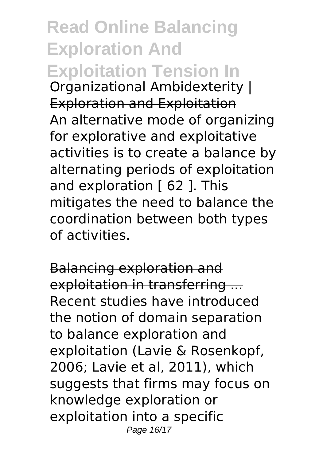**Read Online Balancing Exploration And Exploitation Tension In** Organizational Ambidexterity | Exploration and Exploitation An alternative mode of organizing for explorative and exploitative activities is to create a balance by alternating periods of exploitation and exploration [ 62 ]. This mitigates the need to balance the coordination between both types of activities.

Balancing exploration and exploitation in transferring ... Recent studies have introduced the notion of domain separation to balance exploration and exploitation (Lavie & Rosenkopf, 2006; Lavie et al, 2011), which suggests that firms may focus on knowledge exploration or exploitation into a specific Page 16/17